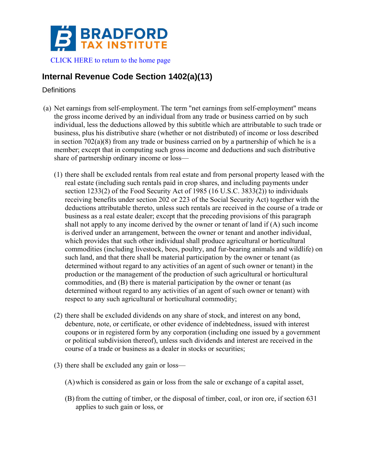

## **Internal Revenue Code Section 1402(a)(13)**

**Definitions** 

- (a) Net earnings from self-employment. The term "net earnings from self-employment" means the gross income derived by an individual from any trade or business carried on by such individual, less the deductions allowed by this subtitle which are attributable to such trade or business, plus his distributive share (whether or not distributed) of income or loss described in section  $702(a)(8)$  from any trade or business carried on by a partnership of which he is a member; except that in computing such gross income and deductions and such distributive share of partnership ordinary income or loss—
	- (1) there shall be excluded rentals from real estate and from personal property leased with the real estate (including such rentals paid in crop shares, and including payments under section 1233(2) of the Food Security Act of 1985 (16 U.S.C. 3833(2)) to individuals receiving benefits under section 202 or 223 of the Social Security Act) together with the deductions attributable thereto, unless such rentals are received in the course of a trade or business as a real estate dealer; except that the preceding provisions of this paragraph shall not apply to any income derived by the owner or tenant of land if (A) such income is derived under an arrangement, between the owner or tenant and another individual, which provides that such other individual shall produce agricultural or horticultural commodities (including livestock, bees, poultry, and fur-bearing animals and wildlife) on such land, and that there shall be material participation by the owner or tenant (as determined without regard to any activities of an agent of such owner or tenant) in the production or the management of the production of such agricultural or horticultural commodities, and (B) there is material participation by the owner or tenant (as determined without regard to any activities of an agent of such owner or tenant) with respect to any such agricultural or horticultural commodity;
	- (2) there shall be excluded dividends on any share of stock, and interest on any bond, debenture, note, or certificate, or other evidence of indebtedness, issued with interest coupons or in registered form by any corporation (including one issued by a government or political subdivision thereof), unless such dividends and interest are received in the course of a trade or business as a dealer in stocks or securities;
	- (3) there shall be excluded any gain or loss—
		- (A)which is considered as gain or loss from the sale or exchange of a capital asset,
		- (B) from the cutting of timber, or the disposal of timber, coal, or iron ore, if section 631 applies to such gain or loss, or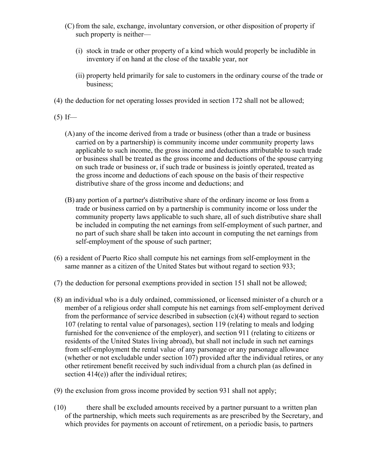- (C) from the sale, exchange, involuntary conversion, or other disposition of property if such property is neither—
	- (i) stock in trade or other property of a kind which would properly be includible in inventory if on hand at the close of the taxable year, nor
	- (ii) property held primarily for sale to customers in the ordinary course of the trade or business;
- (4) the deduction for net operating losses provided in section 172 shall not be allowed;
- $(5)$  If—
	- (A) any of the income derived from a trade or business (other than a trade or business carried on by a partnership) is community income under community property laws applicable to such income, the gross income and deductions attributable to such trade or business shall be treated as the gross income and deductions of the spouse carrying on such trade or business or, if such trade or business is jointly operated, treated as the gross income and deductions of each spouse on the basis of their respective distributive share of the gross income and deductions; and
	- (B) any portion of a partner's distributive share of the ordinary income or loss from a trade or business carried on by a partnership is community income or loss under the community property laws applicable to such share, all of such distributive share shall be included in computing the net earnings from self-employment of such partner, and no part of such share shall be taken into account in computing the net earnings from self-employment of the spouse of such partner;
- (6) a resident of Puerto Rico shall compute his net earnings from self-employment in the same manner as a citizen of the United States but without regard to section 933;
- (7) the deduction for personal exemptions provided in section 151 shall not be allowed;
- (8) an individual who is a duly ordained, commissioned, or licensed minister of a church or a member of a religious order shall compute his net earnings from self-employment derived from the performance of service described in subsection  $(c)(4)$  without regard to section 107 (relating to rental value of parsonages), section 119 (relating to meals and lodging furnished for the convenience of the employer), and section 911 (relating to citizens or residents of the United States living abroad), but shall not include in such net earnings from self-employment the rental value of any parsonage or any parsonage allowance (whether or not excludable under section 107) provided after the individual retires, or any other retirement benefit received by such individual from a church plan (as defined in section 414(e)) after the individual retires;
- (9) the exclusion from gross income provided by section 931 shall not apply;
- (10) there shall be excluded amounts received by a partner pursuant to a written plan of the partnership, which meets such requirements as are prescribed by the Secretary, and which provides for payments on account of retirement, on a periodic basis, to partners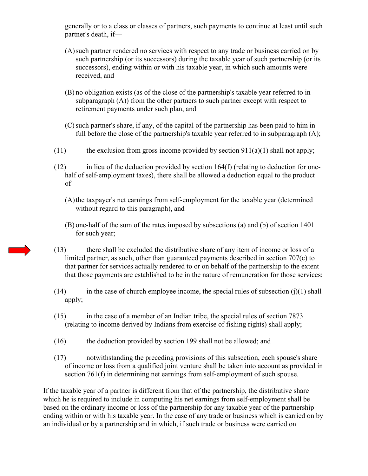generally or to a class or classes of partners, such payments to continue at least until such partner's death, if—

- (A)such partner rendered no services with respect to any trade or business carried on by such partnership (or its successors) during the taxable year of such partnership (or its successors), ending within or with his taxable year, in which such amounts were received, and
- (B) no obligation exists (as of the close of the partnership's taxable year referred to in subparagraph  $(A)$ ) from the other partners to such partner except with respect to retirement payments under such plan, and
- (C)such partner's share, if any, of the capital of the partnership has been paid to him in full before the close of the partnership's taxable year referred to in subparagraph (A);
- (11) the exclusion from gross income provided by section  $911(a)(1)$  shall not apply;
- $(12)$  in lieu of the deduction provided by section 164(f) (relating to deduction for onehalf of self-employment taxes), there shall be allowed a deduction equal to the product of—
	- (A)the taxpayer's net earnings from self-employment for the taxable year (determined without regard to this paragraph), and
	- (B) one-half of the sum of the rates imposed by subsections (a) and (b) of section 1401 for such year;
- (13) there shall be excluded the distributive share of any item of income or loss of a limited partner, as such, other than guaranteed payments described in section 707(c) to that partner for services actually rendered to or on behalf of the partnership to the extent that those payments are established to be in the nature of remuneration for those services;
- $(14)$  in the case of church employee income, the special rules of subsection  $(i)(1)$  shall apply;
- (15) in the case of a member of an Indian tribe, the special rules of section 7873 (relating to income derived by Indians from exercise of fishing rights) shall apply;
- (16) the deduction provided by section 199 shall not be allowed; and
- (17) notwithstanding the preceding provisions of this subsection, each spouse's share of income or loss from a qualified joint venture shall be taken into account as provided in section 761(f) in determining net earnings from self-employment of such spouse.

If the taxable year of a partner is different from that of the partnership, the distributive share which he is required to include in computing his net earnings from self-employment shall be based on the ordinary income or loss of the partnership for any taxable year of the partnership ending within or with his taxable year. In the case of any trade or business which is carried on by an individual or by a partnership and in which, if such trade or business were carried on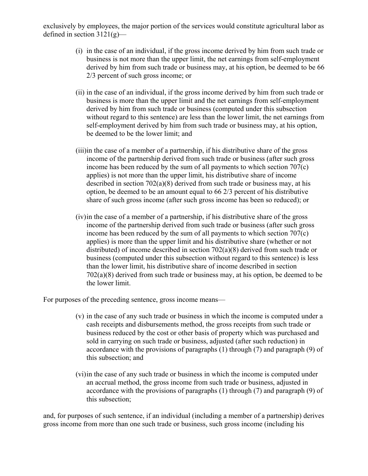exclusively by employees, the major portion of the services would constitute agricultural labor as defined in section  $3121(g)$ —

- (i) in the case of an individual, if the gross income derived by him from such trade or business is not more than the upper limit, the net earnings from self-employment derived by him from such trade or business may, at his option, be deemed to be 66 2/3 percent of such gross income; or
- (ii) in the case of an individual, if the gross income derived by him from such trade or business is more than the upper limit and the net earnings from self-employment derived by him from such trade or business (computed under this subsection without regard to this sentence) are less than the lower limit, the net earnings from self-employment derived by him from such trade or business may, at his option, be deemed to be the lower limit; and
- (iii)in the case of a member of a partnership, if his distributive share of the gross income of the partnership derived from such trade or business (after such gross income has been reduced by the sum of all payments to which section 707(c) applies) is not more than the upper limit, his distributive share of income described in section 702(a)(8) derived from such trade or business may, at his option, be deemed to be an amount equal to 66 2/3 percent of his distributive share of such gross income (after such gross income has been so reduced); or
- (iv)in the case of a member of a partnership, if his distributive share of the gross income of the partnership derived from such trade or business (after such gross income has been reduced by the sum of all payments to which section 707(c) applies) is more than the upper limit and his distributive share (whether or not distributed) of income described in section 702(a)(8) derived from such trade or business (computed under this subsection without regard to this sentence) is less than the lower limit, his distributive share of income described in section 702(a)(8) derived from such trade or business may, at his option, be deemed to be the lower limit.

For purposes of the preceding sentence, gross income means—

- (v) in the case of any such trade or business in which the income is computed under a cash receipts and disbursements method, the gross receipts from such trade or business reduced by the cost or other basis of property which was purchased and sold in carrying on such trade or business, adjusted (after such reduction) in accordance with the provisions of paragraphs (1) through (7) and paragraph (9) of this subsection; and
- (vi)in the case of any such trade or business in which the income is computed under an accrual method, the gross income from such trade or business, adjusted in accordance with the provisions of paragraphs (1) through (7) and paragraph (9) of this subsection;

and, for purposes of such sentence, if an individual (including a member of a partnership) derives gross income from more than one such trade or business, such gross income (including his